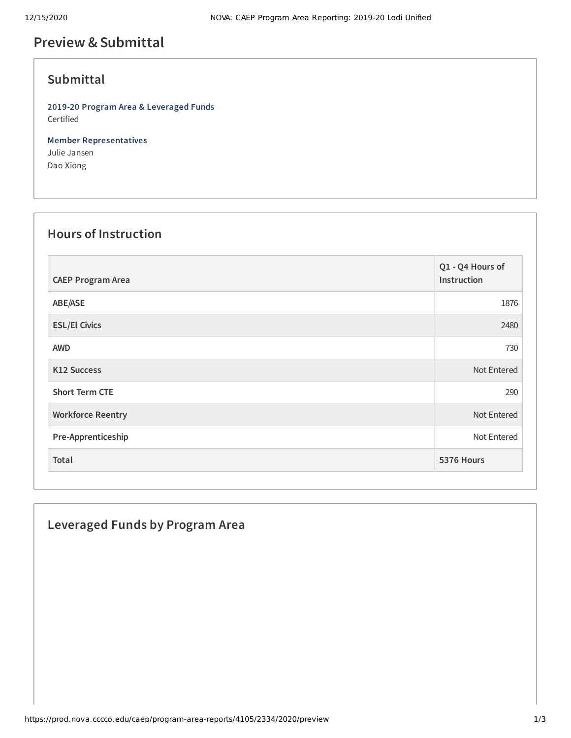## **Preview &Submittal**

#### **Submittal**

**2019-20 Program Area & Leveraged Funds** Certified

**Member Representatives** Julie Jansen Dao Xiong

### **Hours of Instruction**

| <b>CAEP Program Area</b> | Q1 - Q4 Hours of<br>Instruction |
|--------------------------|---------------------------------|
| ABE/ASE                  | 1876                            |
| <b>ESL/El Civics</b>     | 2480                            |
| <b>AWD</b>               | 730                             |
| <b>K12 Success</b>       | Not Entered                     |
| <b>Short Term CTE</b>    | 290                             |
| <b>Workforce Reentry</b> | Not Entered                     |
| Pre-Apprenticeship       | Not Entered                     |
| Total                    | 5376 Hours                      |

# **Leveraged Funds by Program Area**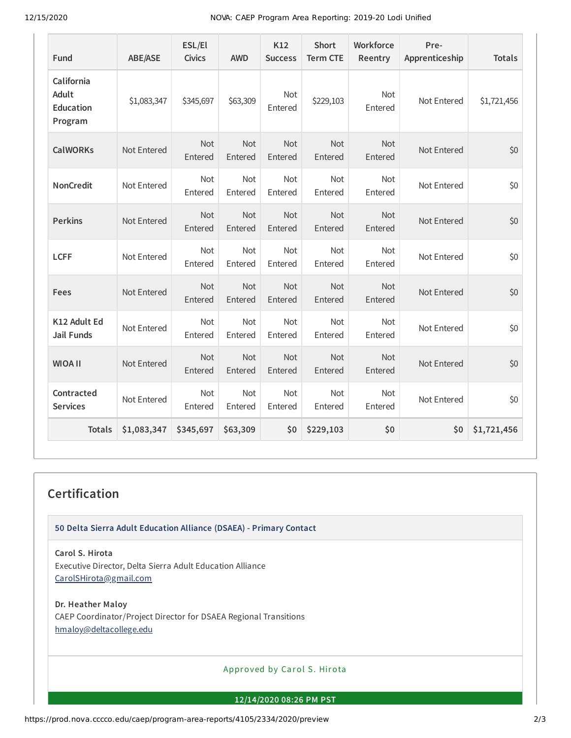12/15/2020 NOVA: CAEP Program Area Reporting: 2019-20 Lodi Unified

| Fund                                                      | <b>ABE/ASE</b> | ESL/El<br><b>Civics</b> | <b>AWD</b>            | K12<br><b>Success</b> | <b>Short</b><br><b>Term CTE</b> | Workforce<br>Reentry  | Pre-<br>Apprenticeship | <b>Totals</b> |
|-----------------------------------------------------------|----------------|-------------------------|-----------------------|-----------------------|---------------------------------|-----------------------|------------------------|---------------|
| California<br><b>Adult</b><br><b>Education</b><br>Program | \$1,083,347    | \$345,697               | \$63,309              | <b>Not</b><br>Entered | \$229,103                       | <b>Not</b><br>Entered | Not Entered            | \$1,721,456   |
| <b>CalWORKs</b>                                           | Not Entered    | Not<br>Entered          | Not<br>Entered        | Not<br>Entered        | Not<br>Entered                  | Not<br>Entered        | Not Entered            | \$0           |
| <b>NonCredit</b>                                          | Not Entered    | Not<br>Entered          | Not<br>Entered        | Not<br>Entered        | Not<br>Entered                  | Not<br>Entered        | Not Entered            | \$0           |
| <b>Perkins</b>                                            | Not Entered    | <b>Not</b><br>Entered   | Not<br>Entered        | <b>Not</b><br>Entered | <b>Not</b><br>Entered           | <b>Not</b><br>Entered | Not Entered            | \$0           |
| <b>LCFF</b>                                               | Not Entered    | Not<br>Entered          | Not<br>Entered        | Not<br>Entered        | Not<br>Entered                  | Not<br>Entered        | Not Entered            | \$0           |
| <b>Fees</b>                                               | Not Entered    | <b>Not</b><br>Entered   | Not<br>Entered        | <b>Not</b><br>Entered | <b>Not</b><br>Entered           | <b>Not</b><br>Entered | Not Entered            | \$0           |
| K12 Adult Ed<br><b>Jail Funds</b>                         | Not Entered    | Not<br>Entered          | Not<br>Entered        | Not<br>Entered        | Not<br>Entered                  | Not<br>Entered        | Not Entered            | \$0           |
| <b>WIOA II</b>                                            | Not Entered    | <b>Not</b><br>Entered   | <b>Not</b><br>Entered | <b>Not</b><br>Entered | <b>Not</b><br>Entered           | <b>Not</b><br>Entered | Not Entered            | \$0           |
| Contracted<br><b>Services</b>                             | Not Entered    | Not<br>Entered          | Not<br>Entered        | Not<br>Entered        | Not<br>Entered                  | Not<br>Entered        | Not Entered            | \$0           |
| <b>Totals</b>                                             | \$1,083,347    | \$345,697               | \$63,309              | \$0                   | \$229,103                       | \$0                   | \$0                    | \$1,721,456   |

### **Certification**

**50 Delta Sierra Adult Education Alliance (DSAEA) - Primary Contact**

**Carol S. Hirota**

Executive Director, Delta Sierra Adult Education Alliance [CarolSHirota@gmail.com](mailto:CarolSHirota@gmail.com)

**Dr. Heather Maloy**

CAEP Coordinator/Project Director for DSAEA Regional Transitions [hmaloy@deltacollege.edu](mailto:hmaloy@deltacollege.edu)

Approved by Carol S. Hirota

**12/14/2020 08:26 PM PST**